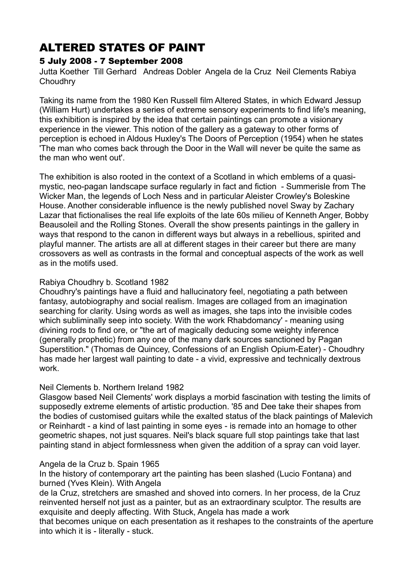# ALTERED STATES OF PAINT

## 5 July 2008 - 7 September 2008

Jutta Koether Till Gerhard Andreas Dobler Angela de la Cruz Neil Clements Rabiya **Choudhrv** 

Taking its name from the 1980 Ken Russell film Altered States, in which Edward Jessup (William Hurt) undertakes a series of extreme sensory experiments to find life's meaning, this exhibition is inspired by the idea that certain paintings can promote a visionary experience in the viewer. This notion of the gallery as a gateway to other forms of perception is echoed in Aldous Huxley's The Doors of Perception (1954) when he states 'The man who comes back through the Door in the Wall will never be quite the same as the man who went out'.

The exhibition is also rooted in the context of a Scotland in which emblems of a quasimystic, neo-pagan landscape surface regularly in fact and fiction - Summerisle from The Wicker Man, the legends of Loch Ness and in particular Aleister Crowley's Boleskine House. Another considerable influence is the newly published novel Sway by Zachary Lazar that fictionalises the real life exploits of the late 60s milieu of Kenneth Anger, Bobby Beausoleil and the Rolling Stones. Overall the show presents paintings in the gallery in ways that respond to the canon in different ways but always in a rebellious, spirited and playful manner. The artists are all at different stages in their career but there are many crossovers as well as contrasts in the formal and conceptual aspects of the work as well as in the motifs used.

## Rabiya Choudhry b. Scotland 1982

Choudhry's paintings have a fluid and hallucinatory feel, negotiating a path between fantasy, autobiography and social realism. Images are collaged from an imagination searching for clarity. Using words as well as images, she taps into the invisible codes which subliminally seep into society. With the work Rhabdomancy' - meaning using divining rods to find ore, or "the art of magically deducing some weighty inference (generally prophetic) from any one of the many dark sources sanctioned by Pagan Superstition." (Thomas de Quincey, Confessions of an English Opium-Eater) - Choudhry has made her largest wall painting to date - a vivid, expressive and technically dextrous work.

## Neil Clements b. Northern Ireland 1982

Glasgow based Neil Clements' work displays a morbid fascination with testing the limits of supposedly extreme elements of artistic production. '85 and Dee take their shapes from the bodies of customised guitars while the exalted status of the black paintings of Malevich or Reinhardt - a kind of last painting in some eyes - is remade into an homage to other geometric shapes, not just squares. Neil's black square full stop paintings take that last painting stand in abject formlessness when given the addition of a spray can void layer.

## Angela de la Cruz b. Spain 1965

In the history of contemporary art the painting has been slashed (Lucio Fontana) and burned (Yves Klein). With Angela

de la Cruz, stretchers are smashed and shoved into corners. In her process, de la Cruz reinvented herself not just as a painter, but as an extraordinary sculptor. The results are exquisite and deeply affecting. With Stuck, Angela has made a work

that becomes unique on each presentation as it reshapes to the constraints of the aperture into which it is - literally - stuck.